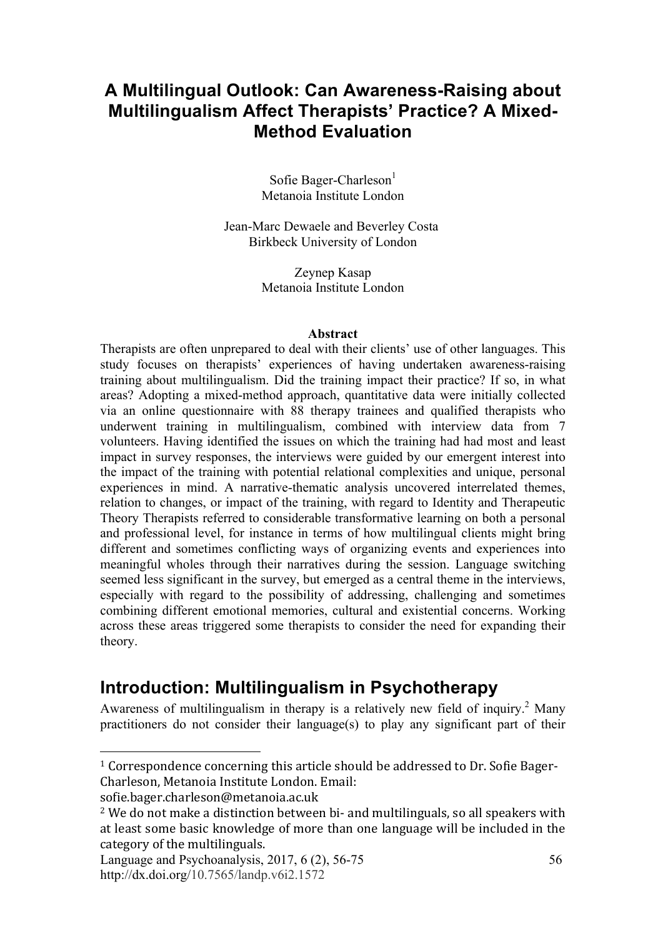## **A Multilingual Outlook: Can Awareness-Raising about Multilingualism Affect Therapists' Practice? A Mixed-Method Evaluation**

Sofie Bager-Charleson $<sup>1</sup>$ </sup> Metanoia Institute London

Jean-Marc Dewaele and Beverley Costa Birkbeck University of London

> Zeynep Kasap Metanoia Institute London

#### **Abstract**

Therapists are often unprepared to deal with their clients' use of other languages. This study focuses on therapists' experiences of having undertaken awareness-raising training about multilingualism. Did the training impact their practice? If so, in what areas? Adopting a mixed-method approach, quantitative data were initially collected via an online questionnaire with 88 therapy trainees and qualified therapists who underwent training in multilingualism, combined with interview data from 7 volunteers. Having identified the issues on which the training had had most and least impact in survey responses, the interviews were guided by our emergent interest into the impact of the training with potential relational complexities and unique, personal experiences in mind. A narrative-thematic analysis uncovered interrelated themes, relation to changes, or impact of the training, with regard to Identity and Therapeutic Theory Therapists referred to considerable transformative learning on both a personal and professional level, for instance in terms of how multilingual clients might bring different and sometimes conflicting ways of organizing events and experiences into meaningful wholes through their narratives during the session. Language switching seemed less significant in the survey, but emerged as a central theme in the interviews, especially with regard to the possibility of addressing, challenging and sometimes combining different emotional memories, cultural and existential concerns. Working across these areas triggered some therapists to consider the need for expanding their theory.

### **Introduction: Multilingualism in Psychotherapy**

Awareness of multilingualism in therapy is a relatively new field of inquiry.<sup>2</sup> Many practitioners do not consider their language(s) to play any significant part of their

<u>.</u>

<sup>&</sup>lt;sup>1</sup> Correspondence concerning this article should be addressed to Dr. Sofie Bager-Charleson. Metanoia Institute London. Email:

sofie.bager.charleson@metanoia.ac.uk

 $2$  We do not make a distinction between bi- and multilinguals, so all speakers with at least some basic knowledge of more than one language will be included in the category of the multilinguals.

Language and Psychoanalysis, 2017, 6 (2), 56-75 http://dx.doi.org/10.7565/landp.v6i2.1572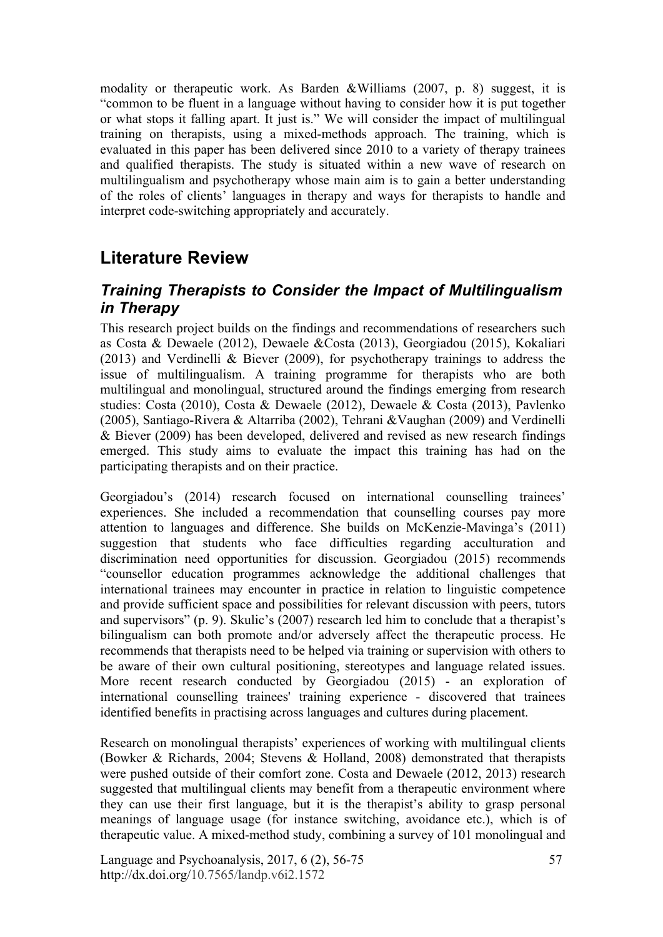modality or therapeutic work. As Barden &Williams (2007, p. 8) suggest, it is "common to be fluent in a language without having to consider how it is put together or what stops it falling apart. It just is." We will consider the impact of multilingual training on therapists, using a mixed-methods approach. The training, which is evaluated in this paper has been delivered since 2010 to a variety of therapy trainees and qualified therapists. The study is situated within a new wave of research on multilingualism and psychotherapy whose main aim is to gain a better understanding of the roles of clients' languages in therapy and ways for therapists to handle and interpret code-switching appropriately and accurately.

## **Literature Review**

### *Training Therapists to Consider the Impact of Multilingualism in Therapy*

This research project builds on the findings and recommendations of researchers such as Costa & Dewaele (2012), Dewaele &Costa (2013), Georgiadou (2015), Kokaliari (2013) and Verdinelli & Biever (2009), for psychotherapy trainings to address the issue of multilingualism. A training programme for therapists who are both multilingual and monolingual, structured around the findings emerging from research studies: Costa (2010), Costa & Dewaele (2012), Dewaele & Costa (2013), Pavlenko (2005), Santiago-Rivera & Altarriba (2002), Tehrani &Vaughan (2009) and Verdinelli & Biever (2009) has been developed, delivered and revised as new research findings emerged. This study aims to evaluate the impact this training has had on the participating therapists and on their practice.

Georgiadou's (2014) research focused on international counselling trainees' experiences. She included a recommendation that counselling courses pay more attention to languages and difference. She builds on McKenzie-Mavinga's (2011) suggestion that students who face difficulties regarding acculturation and discrimination need opportunities for discussion. Georgiadou (2015) recommends "counsellor education programmes acknowledge the additional challenges that international trainees may encounter in practice in relation to linguistic competence and provide sufficient space and possibilities for relevant discussion with peers, tutors and supervisors" (p. 9). Skulic's (2007) research led him to conclude that a therapist's bilingualism can both promote and/or adversely affect the therapeutic process. He recommends that therapists need to be helped via training or supervision with others to be aware of their own cultural positioning, stereotypes and language related issues. More recent research conducted by Georgiadou (2015) - an exploration of international counselling trainees' training experience - discovered that trainees identified benefits in practising across languages and cultures during placement.

Research on monolingual therapists' experiences of working with multilingual clients (Bowker & Richards, 2004; Stevens & Holland, 2008) demonstrated that therapists were pushed outside of their comfort zone. Costa and Dewaele (2012, 2013) research suggested that multilingual clients may benefit from a therapeutic environment where they can use their first language, but it is the therapist's ability to grasp personal meanings of language usage (for instance switching, avoidance etc.), which is of therapeutic value. A mixed-method study, combining a survey of 101 monolingual and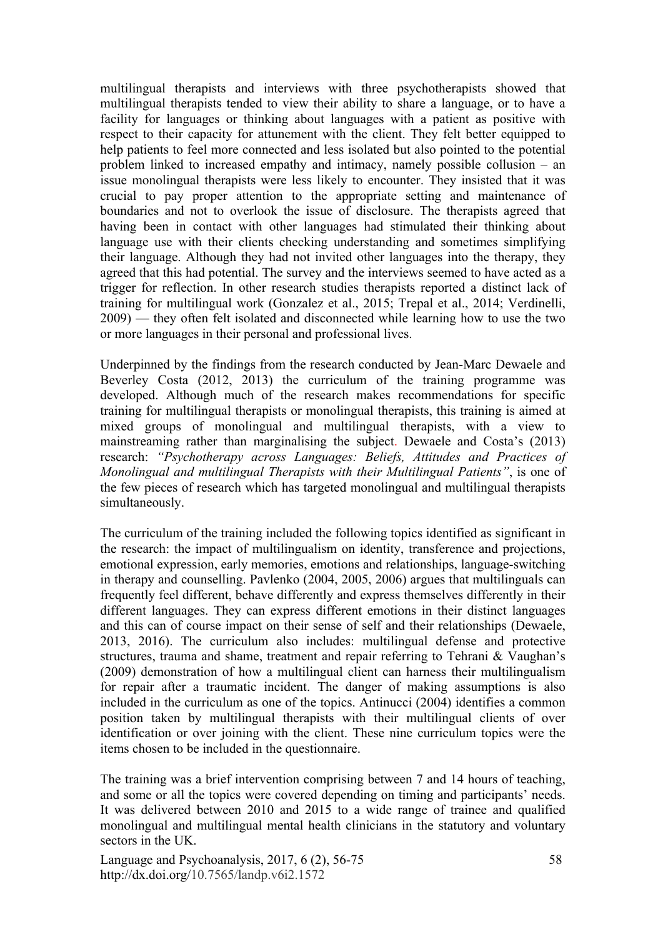multilingual therapists and interviews with three psychotherapists showed that multilingual therapists tended to view their ability to share a language, or to have a facility for languages or thinking about languages with a patient as positive with respect to their capacity for attunement with the client. They felt better equipped to help patients to feel more connected and less isolated but also pointed to the potential problem linked to increased empathy and intimacy, namely possible collusion – an issue monolingual therapists were less likely to encounter. They insisted that it was crucial to pay proper attention to the appropriate setting and maintenance of boundaries and not to overlook the issue of disclosure. The therapists agreed that having been in contact with other languages had stimulated their thinking about language use with their clients checking understanding and sometimes simplifying their language. Although they had not invited other languages into the therapy, they agreed that this had potential. The survey and the interviews seemed to have acted as a trigger for reflection. In other research studies therapists reported a distinct lack of training for multilingual work (Gonzalez et al., 2015; Trepal et al., 2014; Verdinelli, 2009) — they often felt isolated and disconnected while learning how to use the two or more languages in their personal and professional lives.

Underpinned by the findings from the research conducted by Jean-Marc Dewaele and Beverley Costa (2012, 2013) the curriculum of the training programme was developed. Although much of the research makes recommendations for specific training for multilingual therapists or monolingual therapists, this training is aimed at mixed groups of monolingual and multilingual therapists, with a view to mainstreaming rather than marginalising the subject. Dewaele and Costa's (2013) research: *"Psychotherapy across Languages: Beliefs, Attitudes and Practices of Monolingual and multilingual Therapists with their Multilingual Patients"*, is one of the few pieces of research which has targeted monolingual and multilingual therapists simultaneously.

The curriculum of the training included the following topics identified as significant in the research: the impact of multilingualism on identity, transference and projections, emotional expression, early memories, emotions and relationships, language-switching in therapy and counselling. Pavlenko (2004, 2005, 2006) argues that multilinguals can frequently feel different, behave differently and express themselves differently in their different languages. They can express different emotions in their distinct languages and this can of course impact on their sense of self and their relationships (Dewaele, 2013, 2016). The curriculum also includes: multilingual defense and protective structures, trauma and shame, treatment and repair referring to Tehrani & Vaughan's (2009) demonstration of how a multilingual client can harness their multilingualism for repair after a traumatic incident. The danger of making assumptions is also included in the curriculum as one of the topics. Antinucci (2004) identifies a common position taken by multilingual therapists with their multilingual clients of over identification or over joining with the client. These nine curriculum topics were the items chosen to be included in the questionnaire.

The training was a brief intervention comprising between 7 and 14 hours of teaching, and some or all the topics were covered depending on timing and participants' needs. It was delivered between 2010 and 2015 to a wide range of trainee and qualified monolingual and multilingual mental health clinicians in the statutory and voluntary sectors in the UK.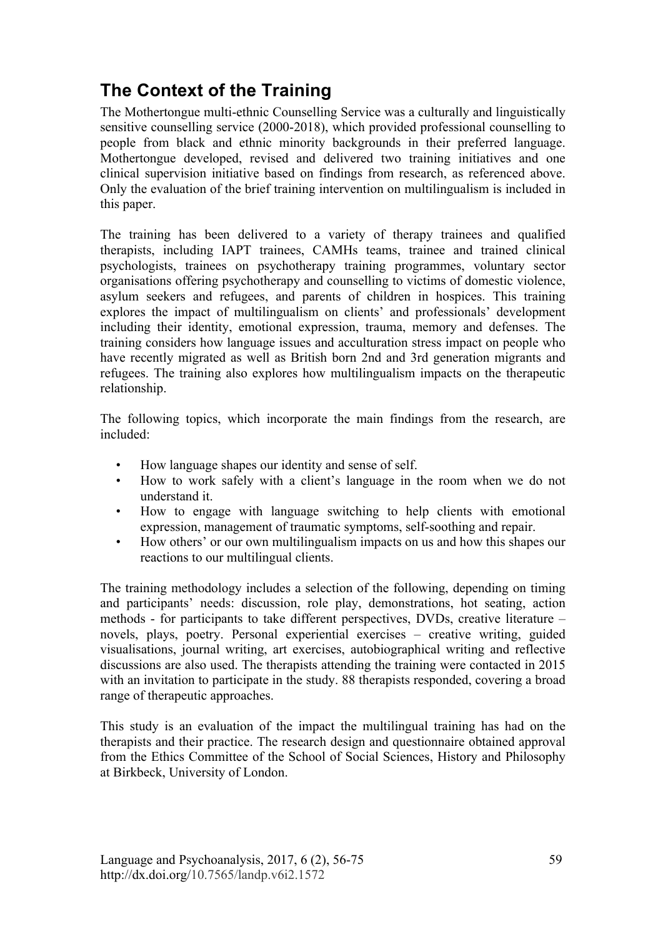# **The Context of the Training**

The Mothertongue multi-ethnic Counselling Service was a culturally and linguistically sensitive counselling service (2000-2018), which provided professional counselling to people from black and ethnic minority backgrounds in their preferred language. Mothertongue developed, revised and delivered two training initiatives and one clinical supervision initiative based on findings from research, as referenced above. Only the evaluation of the brief training intervention on multilingualism is included in this paper.

The training has been delivered to a variety of therapy trainees and qualified therapists, including IAPT trainees, CAMHs teams, trainee and trained clinical psychologists, trainees on psychotherapy training programmes, voluntary sector organisations offering psychotherapy and counselling to victims of domestic violence, asylum seekers and refugees, and parents of children in hospices. This training explores the impact of multilingualism on clients' and professionals' development including their identity, emotional expression, trauma, memory and defenses. The training considers how language issues and acculturation stress impact on people who have recently migrated as well as British born 2nd and 3rd generation migrants and refugees. The training also explores how multilingualism impacts on the therapeutic relationship.

The following topics, which incorporate the main findings from the research, are included:

- How language shapes our identity and sense of self.
- How to work safely with a client's language in the room when we do not understand it.
- How to engage with language switching to help clients with emotional expression, management of traumatic symptoms, self-soothing and repair.
- How others' or our own multilingualism impacts on us and how this shapes our reactions to our multilingual clients.

The training methodology includes a selection of the following, depending on timing and participants' needs: discussion, role play, demonstrations, hot seating, action methods - for participants to take different perspectives, DVDs, creative literature – novels, plays, poetry. Personal experiential exercises – creative writing, guided visualisations, journal writing, art exercises, autobiographical writing and reflective discussions are also used. The therapists attending the training were contacted in 2015 with an invitation to participate in the study. 88 therapists responded, covering a broad range of therapeutic approaches.

This study is an evaluation of the impact the multilingual training has had on the therapists and their practice. The research design and questionnaire obtained approval from the Ethics Committee of the School of Social Sciences, History and Philosophy at Birkbeck, University of London.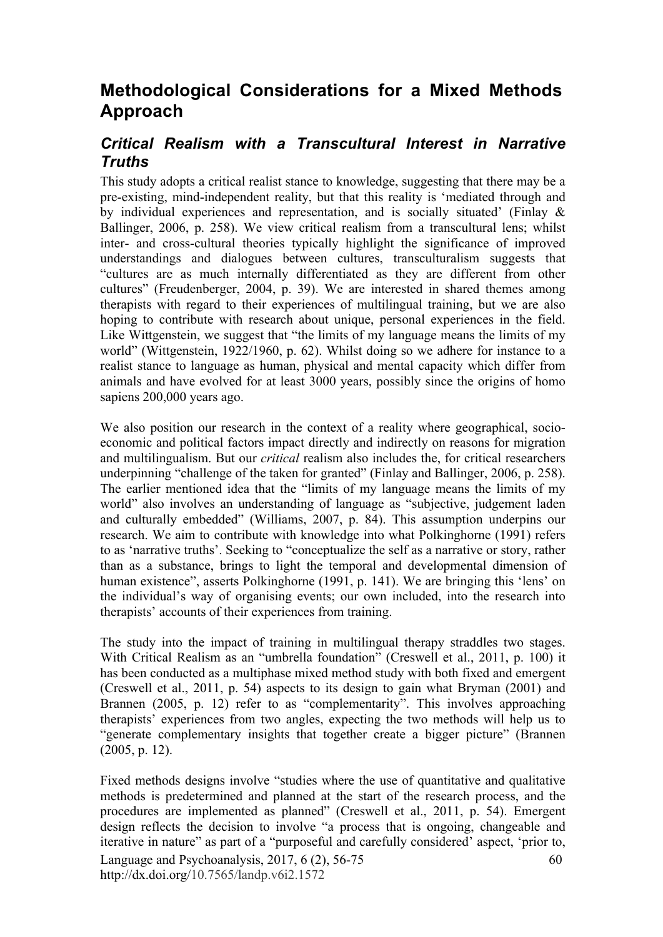# **Methodological Considerations for a Mixed Methods Approach**

### *Critical Realism with a Transcultural Interest in Narrative Truths*

This study adopts a critical realist stance to knowledge, suggesting that there may be a pre-existing, mind-independent reality, but that this reality is 'mediated through and by individual experiences and representation, and is socially situated' (Finlay & Ballinger, 2006, p. 258). We view critical realism from a transcultural lens; whilst inter- and cross-cultural theories typically highlight the significance of improved understandings and dialogues between cultures, transculturalism suggests that "cultures are as much internally differentiated as they are different from other cultures" (Freudenberger, 2004, p. 39). We are interested in shared themes among therapists with regard to their experiences of multilingual training, but we are also hoping to contribute with research about unique, personal experiences in the field. Like Wittgenstein, we suggest that "the limits of my language means the limits of my world" (Wittgenstein, 1922/1960, p. 62). Whilst doing so we adhere for instance to a realist stance to language as human, physical and mental capacity which differ from animals and have evolved for at least 3000 years, possibly since the origins of homo sapiens 200,000 years ago.

We also position our research in the context of a reality where geographical, socioeconomic and political factors impact directly and indirectly on reasons for migration and multilingualism. But our *critical* realism also includes the, for critical researchers underpinning "challenge of the taken for granted" (Finlay and Ballinger, 2006, p. 258). The earlier mentioned idea that the "limits of my language means the limits of my world" also involves an understanding of language as "subjective, judgement laden and culturally embedded" (Williams, 2007, p. 84). This assumption underpins our research. We aim to contribute with knowledge into what Polkinghorne (1991) refers to as 'narrative truths'. Seeking to "conceptualize the self as a narrative or story, rather than as a substance, brings to light the temporal and developmental dimension of human existence", asserts Polkinghorne (1991, p. 141). We are bringing this 'lens' on the individual's way of organising events; our own included, into the research into therapists' accounts of their experiences from training.

The study into the impact of training in multilingual therapy straddles two stages. With Critical Realism as an "umbrella foundation" (Creswell et al., 2011, p. 100) it has been conducted as a multiphase mixed method study with both fixed and emergent (Creswell et al., 2011, p. 54) aspects to its design to gain what Bryman (2001) and Brannen (2005, p. 12) refer to as "complementarity". This involves approaching therapists' experiences from two angles, expecting the two methods will help us to "generate complementary insights that together create a bigger picture" (Brannen (2005, p. 12).

Language and Psychoanalysis, 2017, 6 (2), 56-75 http://dx.doi.org/10.7565/landp.v6i2.1572 60 Fixed methods designs involve "studies where the use of quantitative and qualitative methods is predetermined and planned at the start of the research process, and the procedures are implemented as planned" (Creswell et al., 2011, p. 54). Emergent design reflects the decision to involve "a process that is ongoing, changeable and iterative in nature" as part of a "purposeful and carefully considered' aspect, 'prior to,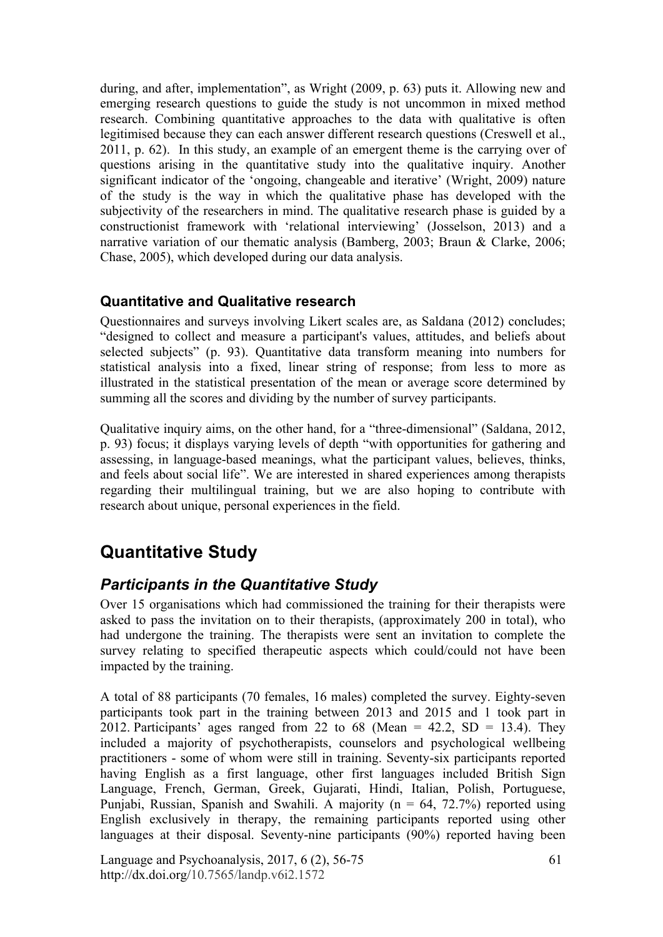during, and after, implementation", as Wright (2009, p. 63) puts it. Allowing new and emerging research questions to guide the study is not uncommon in mixed method research. Combining quantitative approaches to the data with qualitative is often legitimised because they can each answer different research questions (Creswell et al., 2011, p. 62). In this study, an example of an emergent theme is the carrying over of questions arising in the quantitative study into the qualitative inquiry. Another significant indicator of the 'ongoing, changeable and iterative' (Wright, 2009) nature of the study is the way in which the qualitative phase has developed with the subjectivity of the researchers in mind. The qualitative research phase is guided by a constructionist framework with 'relational interviewing' (Josselson, 2013) and a narrative variation of our thematic analysis (Bamberg, 2003; Braun & Clarke, 2006; Chase, 2005), which developed during our data analysis.

#### **Quantitative and Qualitative research**

Questionnaires and surveys involving Likert scales are, as Saldana (2012) concludes; "designed to collect and measure a participant's values, attitudes, and beliefs about selected subjects" (p. 93). Quantitative data transform meaning into numbers for statistical analysis into a fixed, linear string of response; from less to more as illustrated in the statistical presentation of the mean or average score determined by summing all the scores and dividing by the number of survey participants.

Qualitative inquiry aims, on the other hand, for a "three-dimensional" (Saldana, 2012, p. 93) focus; it displays varying levels of depth "with opportunities for gathering and assessing, in language-based meanings, what the participant values, believes, thinks, and feels about social life". We are interested in shared experiences among therapists regarding their multilingual training, but we are also hoping to contribute with research about unique, personal experiences in the field.

# **Quantitative Study**

### *Participants in the Quantitative Study*

Over 15 organisations which had commissioned the training for their therapists were asked to pass the invitation on to their therapists, (approximately 200 in total), who had undergone the training. The therapists were sent an invitation to complete the survey relating to specified therapeutic aspects which could/could not have been impacted by the training.

A total of 88 participants (70 females, 16 males) completed the survey. Eighty-seven participants took part in the training between 2013 and 2015 and 1 took part in 2012. Participants' ages ranged from 22 to 68 (Mean =  $42.2$ , SD = 13.4). They included a majority of psychotherapists, counselors and psychological wellbeing practitioners - some of whom were still in training. Seventy-six participants reported having English as a first language, other first languages included British Sign Language, French, German, Greek, Gujarati, Hindi, Italian, Polish, Portuguese, Punjabi, Russian, Spanish and Swahili. A majority ( $n = 64$ , 72.7%) reported using English exclusively in therapy, the remaining participants reported using other languages at their disposal. Seventy-nine participants (90%) reported having been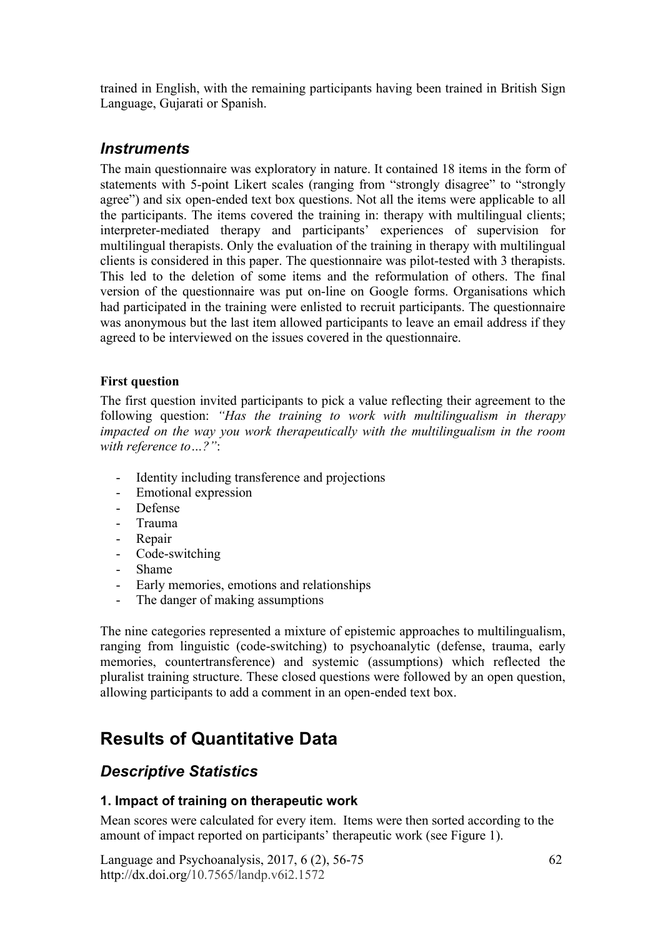trained in English, with the remaining participants having been trained in British Sign Language, Gujarati or Spanish.

#### *Instruments*

The main questionnaire was exploratory in nature. It contained 18 items in the form of statements with 5-point Likert scales (ranging from "strongly disagree" to "strongly agree") and six open-ended text box questions. Not all the items were applicable to all the participants. The items covered the training in: therapy with multilingual clients; interpreter-mediated therapy and participants' experiences of supervision for multilingual therapists. Only the evaluation of the training in therapy with multilingual clients is considered in this paper. The questionnaire was pilot-tested with 3 therapists. This led to the deletion of some items and the reformulation of others. The final version of the questionnaire was put on-line on Google forms. Organisations which had participated in the training were enlisted to recruit participants. The questionnaire was anonymous but the last item allowed participants to leave an email address if they agreed to be interviewed on the issues covered in the questionnaire.

#### **First question**

The first question invited participants to pick a value reflecting their agreement to the following question: *"Has the training to work with multilingualism in therapy impacted on the way you work therapeutically with the multilingualism in the room with reference to…?"*:

- Identity including transference and projections
- Emotional expression
- Defense
- Trauma
- Repair
- Code-switching
- Shame
- Early memories, emotions and relationships
- The danger of making assumptions

The nine categories represented a mixture of epistemic approaches to multilingualism, ranging from linguistic (code-switching) to psychoanalytic (defense, trauma, early memories, countertransference) and systemic (assumptions) which reflected the pluralist training structure. These closed questions were followed by an open question, allowing participants to add a comment in an open-ended text box.

# **Results of Quantitative Data**

#### *Descriptive Statistics*

#### **1. Impact of training on therapeutic work**

Mean scores were calculated for every item. Items were then sorted according to the amount of impact reported on participants' therapeutic work (see Figure 1).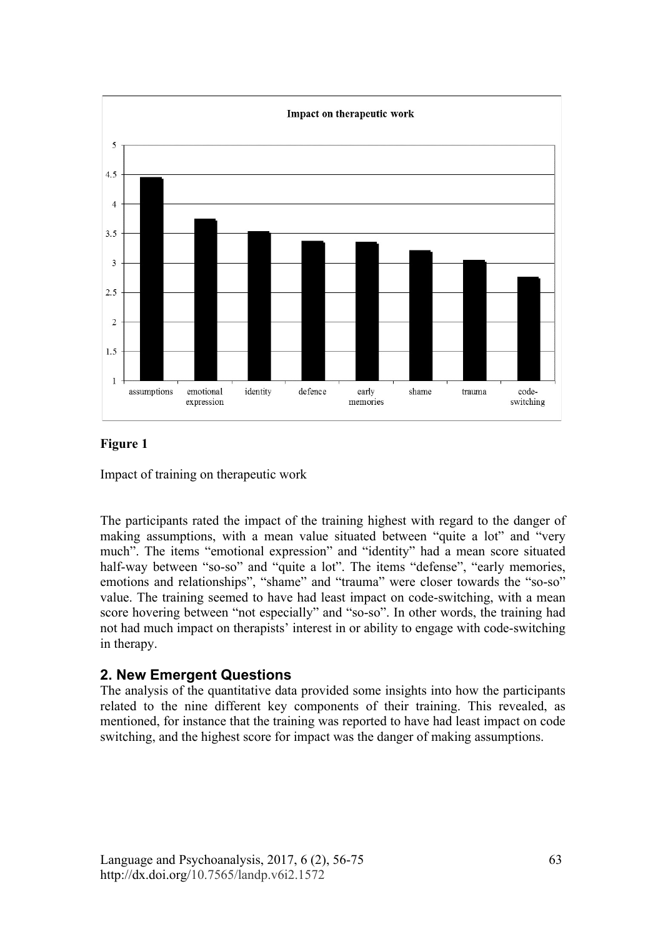

#### **Figure 1**

Impact of training on therapeutic work

The participants rated the impact of the training highest with regard to the danger of making assumptions, with a mean value situated between "quite a lot" and "very much". The items "emotional expression" and "identity" had a mean score situated half-way between "so-so" and "quite a lot". The items "defense", "early memories, emotions and relationships", "shame" and "trauma" were closer towards the "so-so" value. The training seemed to have had least impact on code-switching, with a mean score hovering between "not especially" and "so-so". In other words, the training had not had much impact on therapists' interest in or ability to engage with code-switching in therapy.

#### **2. New Emergent Questions**

The analysis of the quantitative data provided some insights into how the participants related to the nine different key components of their training. This revealed, as mentioned, for instance that the training was reported to have had least impact on code switching, and the highest score for impact was the danger of making assumptions.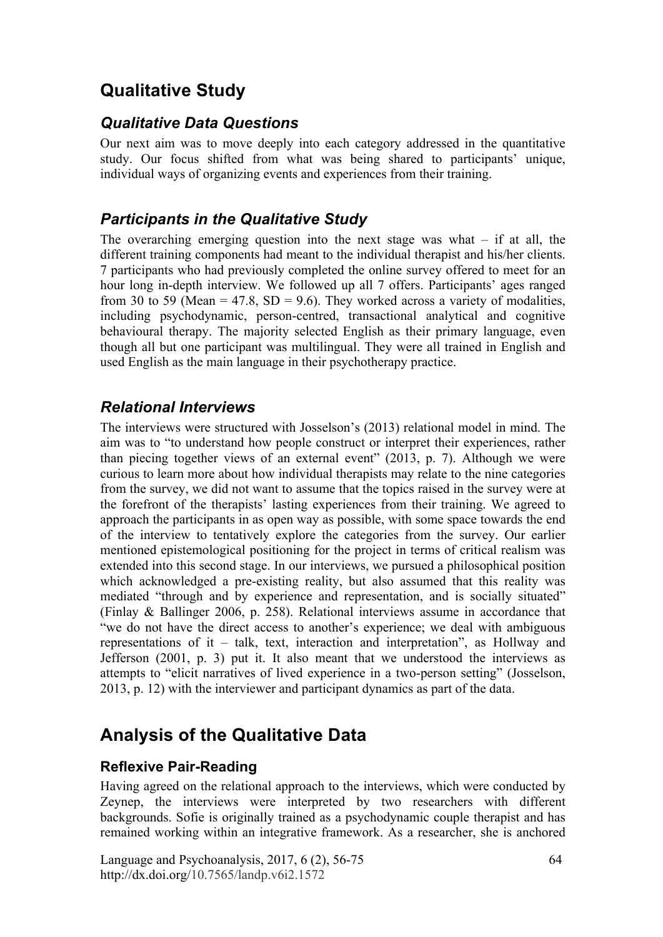# **Qualitative Study**

#### *Qualitative Data Questions*

Our next aim was to move deeply into each category addressed in the quantitative study. Our focus shifted from what was being shared to participants' unique, individual ways of organizing events and experiences from their training.

### *Participants in the Qualitative Study*

The overarching emerging question into the next stage was what  $-$  if at all, the different training components had meant to the individual therapist and his/her clients. 7 participants who had previously completed the online survey offered to meet for an hour long in-depth interview. We followed up all 7 offers. Participants' ages ranged from 30 to 59 (Mean = 47.8, SD = 9.6). They worked across a variety of modalities, including psychodynamic, person-centred, transactional analytical and cognitive behavioural therapy. The majority selected English as their primary language, even though all but one participant was multilingual. They were all trained in English and used English as the main language in their psychotherapy practice.

#### *Relational Interviews*

The interviews were structured with Josselson's (2013) relational model in mind. The aim was to "to understand how people construct or interpret their experiences, rather than piecing together views of an external event" (2013, p. 7). Although we were curious to learn more about how individual therapists may relate to the nine categories from the survey, we did not want to assume that the topics raised in the survey were at the forefront of the therapists' lasting experiences from their training. We agreed to approach the participants in as open way as possible, with some space towards the end of the interview to tentatively explore the categories from the survey. Our earlier mentioned epistemological positioning for the project in terms of critical realism was extended into this second stage. In our interviews, we pursued a philosophical position which acknowledged a pre-existing reality, but also assumed that this reality was mediated "through and by experience and representation, and is socially situated" (Finlay & Ballinger 2006, p. 258). Relational interviews assume in accordance that "we do not have the direct access to another's experience; we deal with ambiguous representations of it – talk, text, interaction and interpretation", as Hollway and Jefferson (2001, p. 3) put it. It also meant that we understood the interviews as attempts to "elicit narratives of lived experience in a two-person setting" (Josselson, 2013, p. 12) with the interviewer and participant dynamics as part of the data.

# **Analysis of the Qualitative Data**

#### **Reflexive Pair-Reading**

Having agreed on the relational approach to the interviews, which were conducted by Zeynep, the interviews were interpreted by two researchers with different backgrounds. Sofie is originally trained as a psychodynamic couple therapist and has remained working within an integrative framework. As a researcher, she is anchored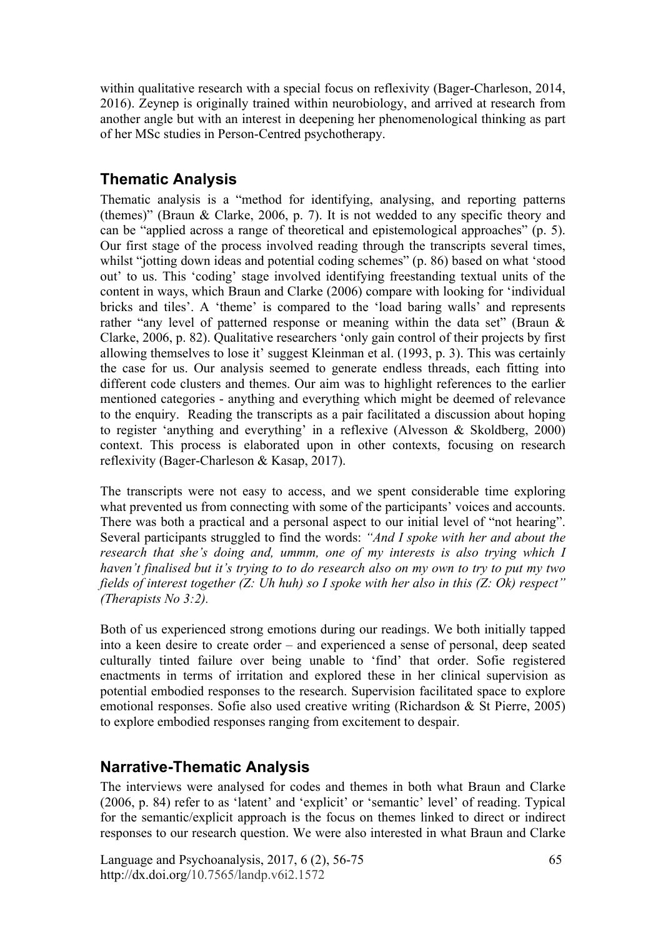within qualitative research with a special focus on reflexivity (Bager-Charleson, 2014, 2016). Zeynep is originally trained within neurobiology, and arrived at research from another angle but with an interest in deepening her phenomenological thinking as part of her MSc studies in Person-Centred psychotherapy.

### **Thematic Analysis**

Thematic analysis is a "method for identifying, analysing, and reporting patterns (themes)" (Braun & Clarke, 2006, p. 7). It is not wedded to any specific theory and can be "applied across a range of theoretical and epistemological approaches" (p. 5). Our first stage of the process involved reading through the transcripts several times, whilst "jotting down ideas and potential coding schemes" (p. 86) based on what 'stood out' to us. This 'coding' stage involved identifying freestanding textual units of the content in ways, which Braun and Clarke (2006) compare with looking for 'individual bricks and tiles'. A 'theme' is compared to the 'load baring walls' and represents rather "any level of patterned response or meaning within the data set" (Braun & Clarke, 2006, p. 82). Qualitative researchers 'only gain control of their projects by first allowing themselves to lose it' suggest Kleinman et al. (1993, p. 3). This was certainly the case for us. Our analysis seemed to generate endless threads, each fitting into different code clusters and themes. Our aim was to highlight references to the earlier mentioned categories - anything and everything which might be deemed of relevance to the enquiry. Reading the transcripts as a pair facilitated a discussion about hoping to register 'anything and everything' in a reflexive (Alvesson & Skoldberg, 2000) context. This process is elaborated upon in other contexts, focusing on research reflexivity (Bager-Charleson & Kasap, 2017).

The transcripts were not easy to access, and we spent considerable time exploring what prevented us from connecting with some of the participants' voices and accounts. There was both a practical and a personal aspect to our initial level of "not hearing". Several participants struggled to find the words: *"And I spoke with her and about the research that she's doing and, ummm, one of my interests is also trying which I haven't finalised but it's trying to to do research also on my own to try to put my two fields of interest together (Z: Uh huh) so I spoke with her also in this (Z: Ok) respect" (Therapists No 3:2).*

Both of us experienced strong emotions during our readings. We both initially tapped into a keen desire to create order – and experienced a sense of personal, deep seated culturally tinted failure over being unable to 'find' that order. Sofie registered enactments in terms of irritation and explored these in her clinical supervision as potential embodied responses to the research. Supervision facilitated space to explore emotional responses. Sofie also used creative writing (Richardson & St Pierre, 2005) to explore embodied responses ranging from excitement to despair.

### **Narrative-Thematic Analysis**

The interviews were analysed for codes and themes in both what Braun and Clarke (2006, p. 84) refer to as 'latent' and 'explicit' or 'semantic' level' of reading. Typical for the semantic/explicit approach is the focus on themes linked to direct or indirect responses to our research question. We were also interested in what Braun and Clarke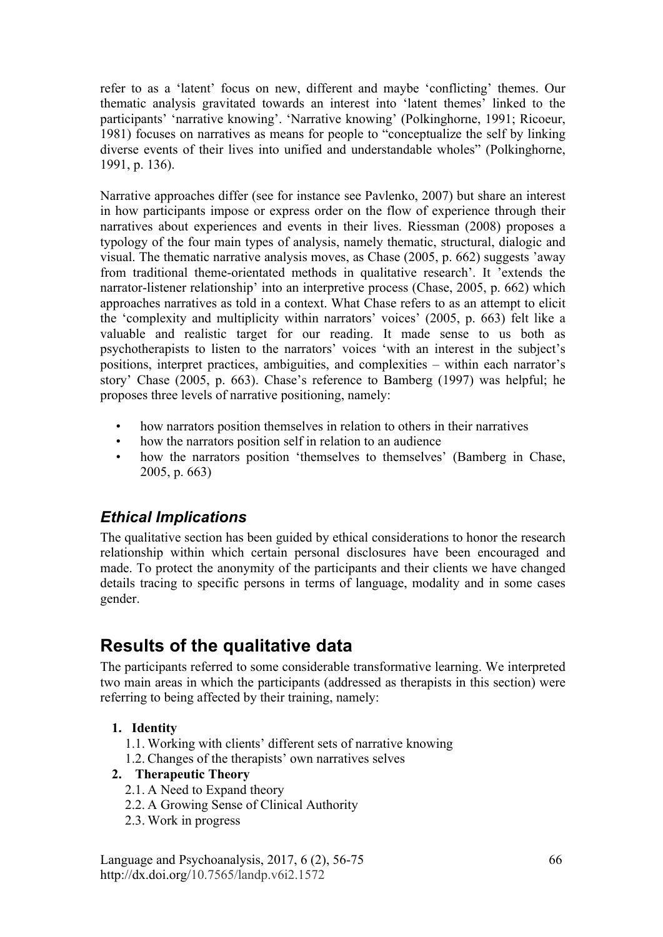refer to as a 'latent' focus on new, different and maybe 'conflicting' themes. Our thematic analysis gravitated towards an interest into 'latent themes' linked to the participants' 'narrative knowing'. 'Narrative knowing' (Polkinghorne, 1991; Ricoeur, 1981) focuses on narratives as means for people to "conceptualize the self by linking diverse events of their lives into unified and understandable wholes" (Polkinghorne, 1991, p. 136).

Narrative approaches differ (see for instance see Pavlenko, 2007) but share an interest in how participants impose or express order on the flow of experience through their narratives about experiences and events in their lives. Riessman (2008) proposes a typology of the four main types of analysis, namely thematic, structural, dialogic and visual. The thematic narrative analysis moves, as Chase (2005, p. 662) suggests 'away from traditional theme-orientated methods in qualitative research'. It 'extends the narrator-listener relationship' into an interpretive process (Chase, 2005, p. 662) which approaches narratives as told in a context. What Chase refers to as an attempt to elicit the 'complexity and multiplicity within narrators' voices' (2005, p. 663) felt like a valuable and realistic target for our reading. It made sense to us both as psychotherapists to listen to the narrators' voices 'with an interest in the subject's positions, interpret practices, ambiguities, and complexities – within each narrator's story' Chase (2005, p. 663). Chase's reference to Bamberg (1997) was helpful; he proposes three levels of narrative positioning, namely:

- how narrators position themselves in relation to others in their narratives
- how the narrators position self in relation to an audience
- how the narrators position 'themselves to themselves' (Bamberg in Chase, 2005, p. 663)

### *Ethical Implications*

The qualitative section has been guided by ethical considerations to honor the research relationship within which certain personal disclosures have been encouraged and made. To protect the anonymity of the participants and their clients we have changed details tracing to specific persons in terms of language, modality and in some cases gender.

# **Results of the qualitative data**

The participants referred to some considerable transformative learning. We interpreted two main areas in which the participants (addressed as therapists in this section) were referring to being affected by their training, namely:

#### **1. Identity**

- 1.1. Working with clients' different sets of narrative knowing
- 1.2. Changes of the therapists' own narratives selves

#### **2. Therapeutic Theory**

- 2.1. A Need to Expand theory
- 2.2. A Growing Sense of Clinical Authority
- 2.3. Work in progress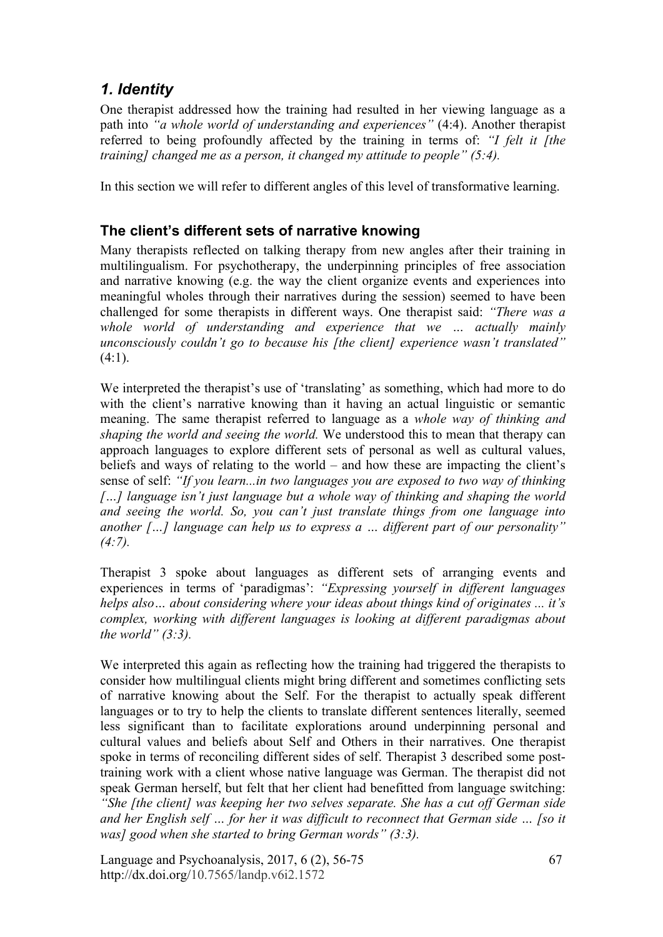### *1. Identity*

One therapist addressed how the training had resulted in her viewing language as a path into *"a whole world of understanding and experiences"* (4:4). Another therapist referred to being profoundly affected by the training in terms of: *"I felt it [the training] changed me as a person, it changed my attitude to people" (5:4).*

In this section we will refer to different angles of this level of transformative learning.

#### **The client's different sets of narrative knowing**

Many therapists reflected on talking therapy from new angles after their training in multilingualism. For psychotherapy, the underpinning principles of free association and narrative knowing (e.g. the way the client organize events and experiences into meaningful wholes through their narratives during the session) seemed to have been challenged for some therapists in different ways. One therapist said: *"There was a whole world of understanding and experience that we … actually mainly unconsciously couldn't go to because his [the client] experience wasn't translated"*  $(4:1)$ .

We interpreted the therapist's use of 'translating' as something, which had more to do with the client's narrative knowing than it having an actual linguistic or semantic meaning. The same therapist referred to language as a *whole way of thinking and shaping the world and seeing the world.* We understood this to mean that therapy can approach languages to explore different sets of personal as well as cultural values, beliefs and ways of relating to the world – and how these are impacting the client's sense of self: *"If you learn...in two languages you are exposed to two way of thinking*  [...] language isn't just language but a whole way of thinking and shaping the world *and seeing the world. So, you can't just translate things from one language into another […] language can help us to express a … different part of our personality" (4:7).*

Therapist 3 spoke about languages as different sets of arranging events and experiences in terms of 'paradigmas': *"Expressing yourself in different languages helps also… about considering where your ideas about things kind of originates ... it's complex, working with different languages is looking at different paradigmas about the world" (3:3).*

We interpreted this again as reflecting how the training had triggered the therapists to consider how multilingual clients might bring different and sometimes conflicting sets of narrative knowing about the Self. For the therapist to actually speak different languages or to try to help the clients to translate different sentences literally, seemed less significant than to facilitate explorations around underpinning personal and cultural values and beliefs about Self and Others in their narratives. One therapist spoke in terms of reconciling different sides of self. Therapist 3 described some posttraining work with a client whose native language was German. The therapist did not speak German herself, but felt that her client had benefitted from language switching: *"She [the client] was keeping her two selves separate. She has a cut off German side and her English self … for her it was difficult to reconnect that German side … [so it was] good when she started to bring German words" (3:3).*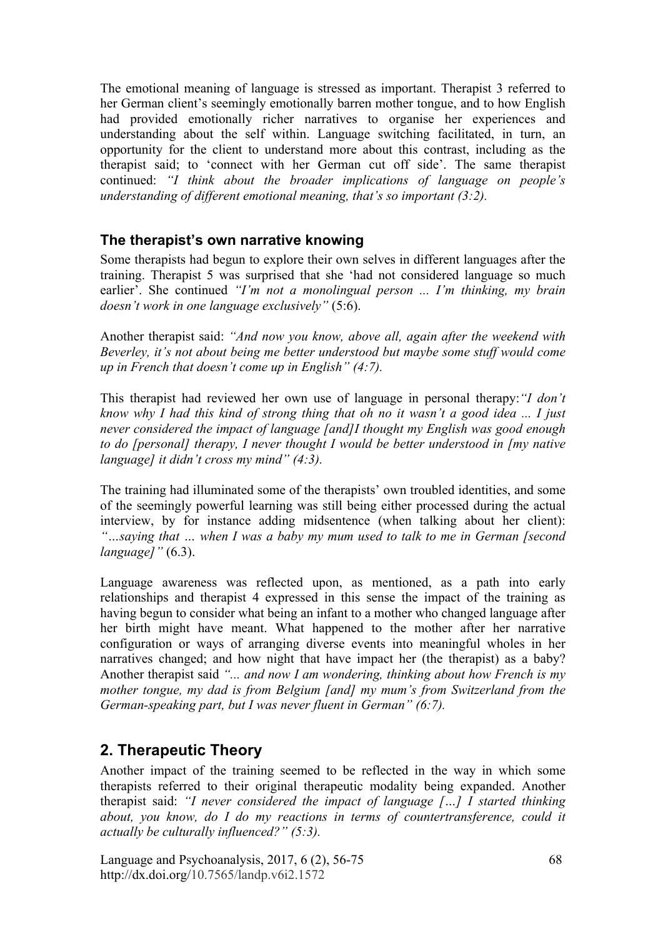The emotional meaning of language is stressed as important. Therapist 3 referred to her German client's seemingly emotionally barren mother tongue, and to how English had provided emotionally richer narratives to organise her experiences and understanding about the self within. Language switching facilitated, in turn, an opportunity for the client to understand more about this contrast, including as the therapist said; to 'connect with her German cut off side'. The same therapist continued: *"I think about the broader implications of language on people's understanding of different emotional meaning, that's so important (3:2).*

#### **The therapist's own narrative knowing**

Some therapists had begun to explore their own selves in different languages after the training. Therapist 5 was surprised that she 'had not considered language so much earlier'. She continued *"I'm not a monolingual person ... I'm thinking, my brain doesn't work in one language exclusively"* (5:6).

Another therapist said: *"And now you know, above all, again after the weekend with Beverley, it's not about being me better understood but maybe some stuff would come up in French that doesn't come up in English" (4:7).*

This therapist had reviewed her own use of language in personal therapy:*"I don't know why I had this kind of strong thing that oh no it wasn't a good idea ... I just never considered the impact of language [and]I thought my English was good enough to do [personal] therapy, I never thought I would be better understood in [my native language] it didn't cross my mind" (4:3).*

The training had illuminated some of the therapists' own troubled identities, and some of the seemingly powerful learning was still being either processed during the actual interview, by for instance adding midsentence (when talking about her client): *"…saying that … when I was a baby my mum used to talk to me in German [second language]"* (6.3).

Language awareness was reflected upon, as mentioned, as a path into early relationships and therapist 4 expressed in this sense the impact of the training as having begun to consider what being an infant to a mother who changed language after her birth might have meant. What happened to the mother after her narrative configuration or ways of arranging diverse events into meaningful wholes in her narratives changed; and how night that have impact her (the therapist) as a baby? Another therapist said *"... and now I am wondering, thinking about how French is my mother tongue, my dad is from Belgium [and] my mum's from Switzerland from the German-speaking part, but I was never fluent in German" (6:7).*

#### **2. Therapeutic Theory**

Another impact of the training seemed to be reflected in the way in which some therapists referred to their original therapeutic modality being expanded. Another therapist said: *"I never considered the impact of language […] I started thinking about, you know, do I do my reactions in terms of countertransference, could it actually be culturally influenced?" (5:3).*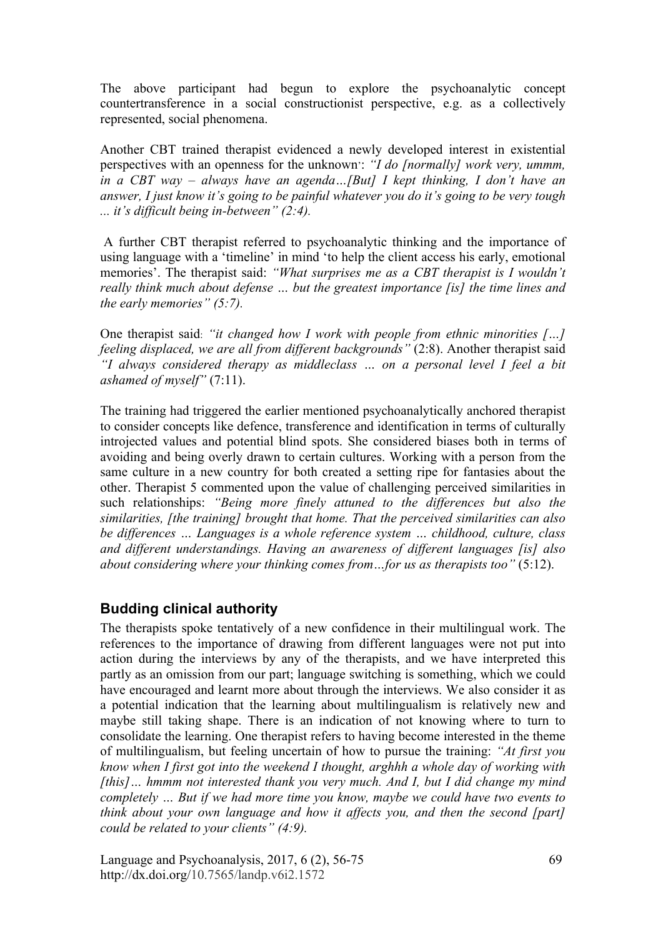The above participant had begun to explore the psychoanalytic concept countertransference in a social constructionist perspective, e.g. as a collectively represented, social phenomena.

Another CBT trained therapist evidenced a newly developed interest in existential perspectives with an openness for the unknown': *"I do [normally] work very, ummm, in a CBT way – always have an agenda…[But] I kept thinking, I don't have an answer, I just know it's going to be painful whatever you do it's going to be very tough ... it's difficult being in-between" (2:4).*

 A further CBT therapist referred to psychoanalytic thinking and the importance of using language with a 'timeline' in mind 'to help the client access his early, emotional memories'. The therapist said: *"What surprises me as a CBT therapist is I wouldn't really think much about defense … but the greatest importance [is] the time lines and the early memories" (5:7).*

One therapist said: *"it changed how I work with people from ethnic minorities […] feeling displaced, we are all from different backgrounds"* (2:8). Another therapist said *"I always considered therapy as middleclass … on a personal level I feel a bit ashamed of myself"* (7:11).

The training had triggered the earlier mentioned psychoanalytically anchored therapist to consider concepts like defence, transference and identification in terms of culturally introjected values and potential blind spots. She considered biases both in terms of avoiding and being overly drawn to certain cultures. Working with a person from the same culture in a new country for both created a setting ripe for fantasies about the other. Therapist 5 commented upon the value of challenging perceived similarities in such relationships: *"Being more finely attuned to the differences but also the similarities, [the training] brought that home. That the perceived similarities can also be differences … Languages is a whole reference system … childhood, culture, class and different understandings. Having an awareness of different languages [is] also about considering where your thinking comes from…for us as therapists too"* (5:12).

#### **Budding clinical authority**

The therapists spoke tentatively of a new confidence in their multilingual work. The references to the importance of drawing from different languages were not put into action during the interviews by any of the therapists, and we have interpreted this partly as an omission from our part; language switching is something, which we could have encouraged and learnt more about through the interviews. We also consider it as a potential indication that the learning about multilingualism is relatively new and maybe still taking shape. There is an indication of not knowing where to turn to consolidate the learning. One therapist refers to having become interested in the theme of multilingualism, but feeling uncertain of how to pursue the training: *"At first you know when I first got into the weekend I thought, arghhh a whole day of working with [this]… hmmm not interested thank you very much. And I, but I did change my mind completely … But if we had more time you know, maybe we could have two events to think about your own language and how it affects you, and then the second [part] could be related to your clients" (4:9).*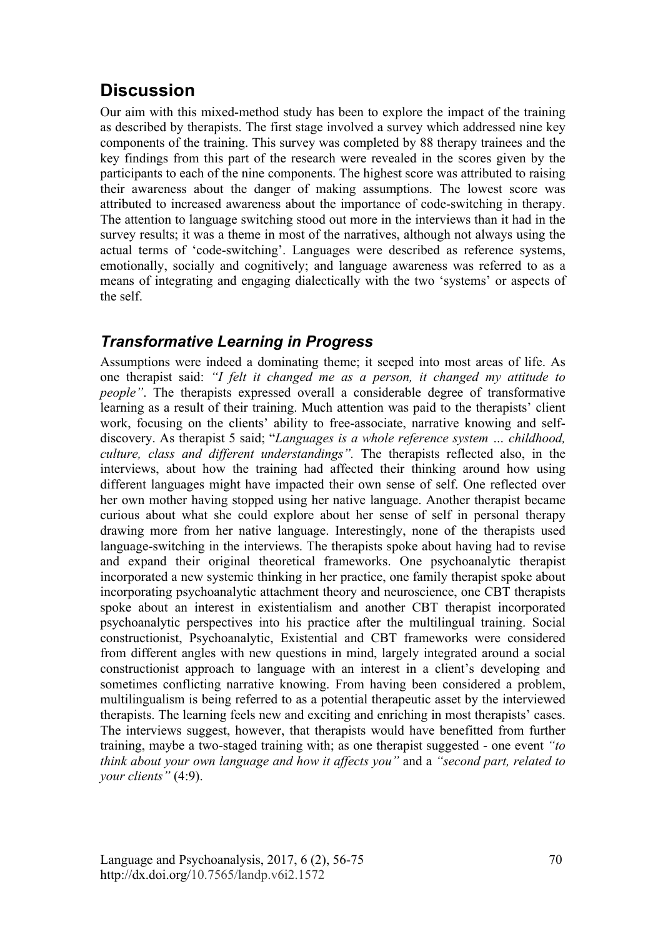## **Discussion**

Our aim with this mixed-method study has been to explore the impact of the training as described by therapists. The first stage involved a survey which addressed nine key components of the training. This survey was completed by 88 therapy trainees and the key findings from this part of the research were revealed in the scores given by the participants to each of the nine components. The highest score was attributed to raising their awareness about the danger of making assumptions. The lowest score was attributed to increased awareness about the importance of code-switching in therapy. The attention to language switching stood out more in the interviews than it had in the survey results; it was a theme in most of the narratives, although not always using the actual terms of 'code-switching'. Languages were described as reference systems, emotionally, socially and cognitively; and language awareness was referred to as a means of integrating and engaging dialectically with the two 'systems' or aspects of the self.

### *Transformative Learning in Progress*

Assumptions were indeed a dominating theme; it seeped into most areas of life. As one therapist said: *"I felt it changed me as a person, it changed my attitude to people"*. The therapists expressed overall a considerable degree of transformative learning as a result of their training. Much attention was paid to the therapists' client work, focusing on the clients' ability to free-associate, narrative knowing and selfdiscovery. As therapist 5 said; "*Languages is a whole reference system … childhood, culture, class and different understandings".* The therapists reflected also, in the interviews, about how the training had affected their thinking around how using different languages might have impacted their own sense of self. One reflected over her own mother having stopped using her native language. Another therapist became curious about what she could explore about her sense of self in personal therapy drawing more from her native language. Interestingly, none of the therapists used language-switching in the interviews. The therapists spoke about having had to revise and expand their original theoretical frameworks. One psychoanalytic therapist incorporated a new systemic thinking in her practice, one family therapist spoke about incorporating psychoanalytic attachment theory and neuroscience, one CBT therapists spoke about an interest in existentialism and another CBT therapist incorporated psychoanalytic perspectives into his practice after the multilingual training. Social constructionist, Psychoanalytic, Existential and CBT frameworks were considered from different angles with new questions in mind, largely integrated around a social constructionist approach to language with an interest in a client's developing and sometimes conflicting narrative knowing. From having been considered a problem, multilingualism is being referred to as a potential therapeutic asset by the interviewed therapists. The learning feels new and exciting and enriching in most therapists' cases. The interviews suggest, however, that therapists would have benefitted from further training, maybe a two-staged training with; as one therapist suggested - one event *"to think about your own language and how it affects you"* and a *"second part, related to your clients"* (4:9).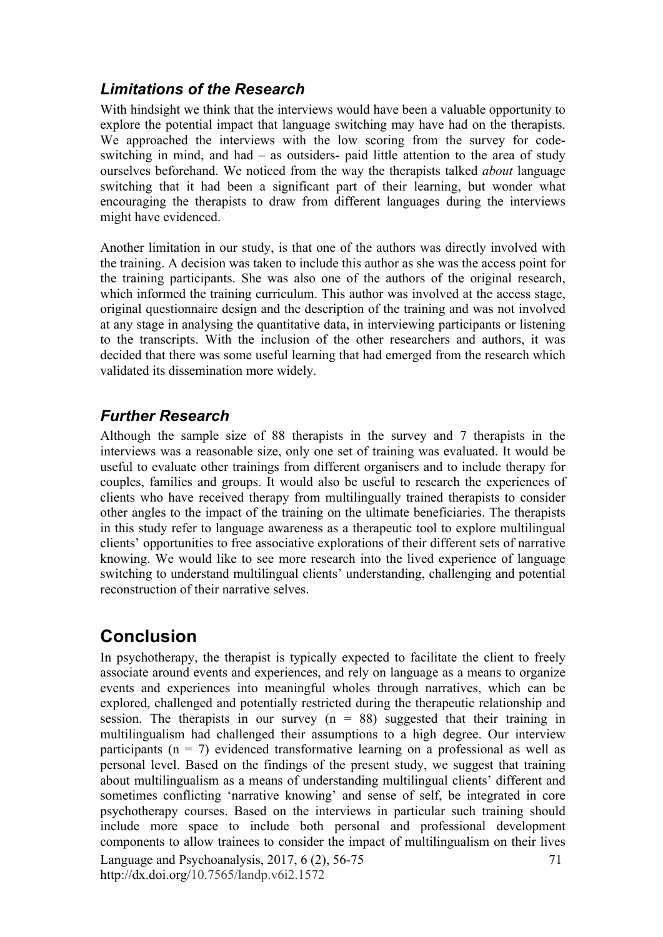### *Limitations of the Research*

With hindsight we think that the interviews would have been a valuable opportunity to explore the potential impact that language switching may have had on the therapists. We approached the interviews with the low scoring from the survey for codeswitching in mind, and had – as outsiders- paid little attention to the area of study ourselves beforehand. We noticed from the way the therapists talked *about* language switching that it had been a significant part of their learning, but wonder what encouraging the therapists to draw from different languages during the interviews might have evidenced.

Another limitation in our study, is that one of the authors was directly involved with the training. A decision was taken to include this author as she was the access point for the training participants. She was also one of the authors of the original research, which informed the training curriculum. This author was involved at the access stage, original questionnaire design and the description of the training and was not involved at any stage in analysing the quantitative data, in interviewing participants or listening to the transcripts. With the inclusion of the other researchers and authors, it was decided that there was some useful learning that had emerged from the research which validated its dissemination more widely.

### *Further Research*

Although the sample size of 88 therapists in the survey and 7 therapists in the interviews was a reasonable size, only one set of training was evaluated. It would be useful to evaluate other trainings from different organisers and to include therapy for couples, families and groups. It would also be useful to research the experiences of clients who have received therapy from multilingually trained therapists to consider other angles to the impact of the training on the ultimate beneficiaries. The therapists in this study refer to language awareness as a therapeutic tool to explore multilingual clients' opportunities to free associative explorations of their different sets of narrative knowing. We would like to see more research into the lived experience of language switching to understand multilingual clients' understanding, challenging and potential reconstruction of their narrative selves.

# **Conclusion**

Language and Psychoanalysis, 2017, 6 (2), 56-75 http://dx.doi.org/10.7565/landp.v6i2.1572 71 In psychotherapy, the therapist is typically expected to facilitate the client to freely associate around events and experiences, and rely on language as a means to organize events and experiences into meaningful wholes through narratives, which can be explored, challenged and potentially restricted during the therapeutic relationship and session. The therapists in our survey  $(n = 88)$  suggested that their training in multilingualism had challenged their assumptions to a high degree. Our interview participants ( $n = 7$ ) evidenced transformative learning on a professional as well as personal level. Based on the findings of the present study, we suggest that training about multilingualism as a means of understanding multilingual clients' different and sometimes conflicting 'narrative knowing' and sense of self, be integrated in core psychotherapy courses. Based on the interviews in particular such training should include more space to include both personal and professional development components to allow trainees to consider the impact of multilingualism on their lives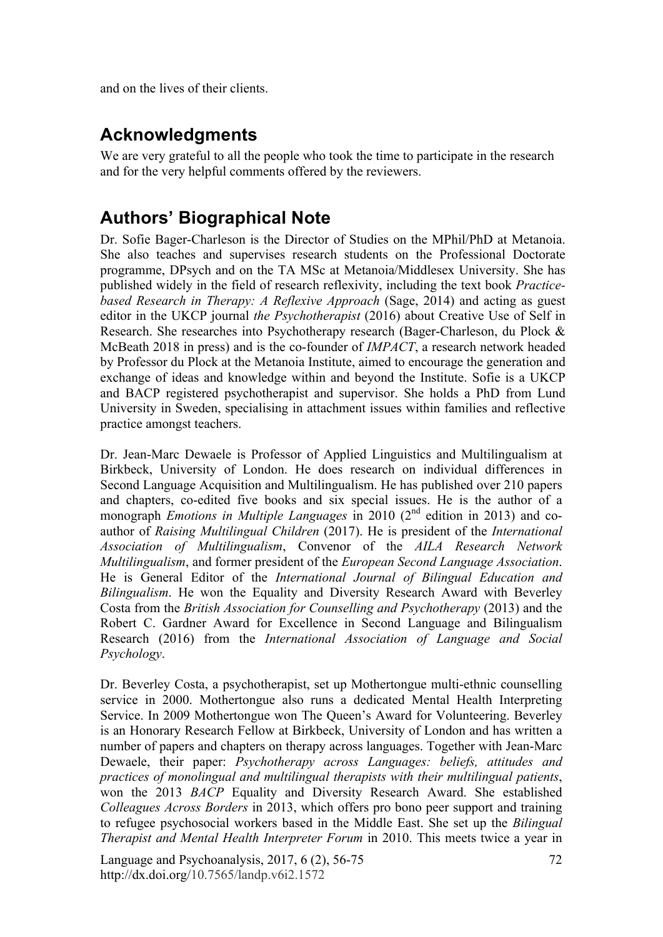and on the lives of their clients.

## **Acknowledgments**

We are very grateful to all the people who took the time to participate in the research and for the very helpful comments offered by the reviewers.

# **Authors' Biographical Note**

Dr. Sofie Bager-Charleson is the Director of Studies on the MPhil/PhD at Metanoia. She also teaches and supervises research students on the Professional Doctorate programme, DPsych and on the TA MSc at Metanoia/Middlesex University. She has published widely in the field of research reflexivity, including the text book *Practicebased Research in Therapy: A Reflexive Approach* (Sage, 2014) and acting as guest editor in the UKCP journal *the Psychotherapist* (2016) about Creative Use of Self in Research. She researches into Psychotherapy research (Bager-Charleson, du Plock & McBeath 2018 in press) and is the co-founder of *IMPACT*, a research network headed by Professor du Plock at the Metanoia Institute, aimed to encourage the generation and exchange of ideas and knowledge within and beyond the Institute. Sofie is a UKCP and BACP registered psychotherapist and supervisor. She holds a PhD from Lund University in Sweden, specialising in attachment issues within families and reflective practice amongst teachers.

Dr. Jean-Marc Dewaele is Professor of Applied Linguistics and Multilingualism at Birkbeck, University of London. He does research on individual differences in Second Language Acquisition and Multilingualism. He has published over 210 papers and chapters, co-edited five books and six special issues. He is the author of a monograph *Emotions in Multiple Languages* in 2010 (2<sup>nd</sup> edition in 2013) and coauthor of *Raising Multilingual Children* (2017). He is president of the *International Association of Multilingualism*, Convenor of the *AILA Research Network Multilingualism*, and former president of the *European Second Language Association*. He is General Editor of the *International Journal of Bilingual Education and Bilingualism*. He won the Equality and Diversity Research Award with Beverley Costa from the *British Association for Counselling and Psychotherapy* (2013) and the Robert C. Gardner Award for Excellence in Second Language and Bilingualism Research (2016) from the *International Association of Language and Social Psychology*.

Dr. Beverley Costa, a psychotherapist, set up Mothertongue multi-ethnic counselling service in 2000. Mothertongue also runs a dedicated Mental Health Interpreting Service. In 2009 Mothertongue won The Queen's Award for Volunteering. Beverley is an Honorary Research Fellow at Birkbeck, University of London and has written a number of papers and chapters on therapy across languages. Together with Jean-Marc Dewaele, their paper: *Psychotherapy across Languages: beliefs, attitudes and practices of monolingual and multilingual therapists with their multilingual patients*, won the 2013 *BACP* Equality and Diversity Research Award. She established *Colleagues Across Borders* in 2013, which offers pro bono peer support and training to refugee psychosocial workers based in the Middle East. She set up the *Bilingual Therapist and Mental Health Interpreter Forum* in 2010. This meets twice a year in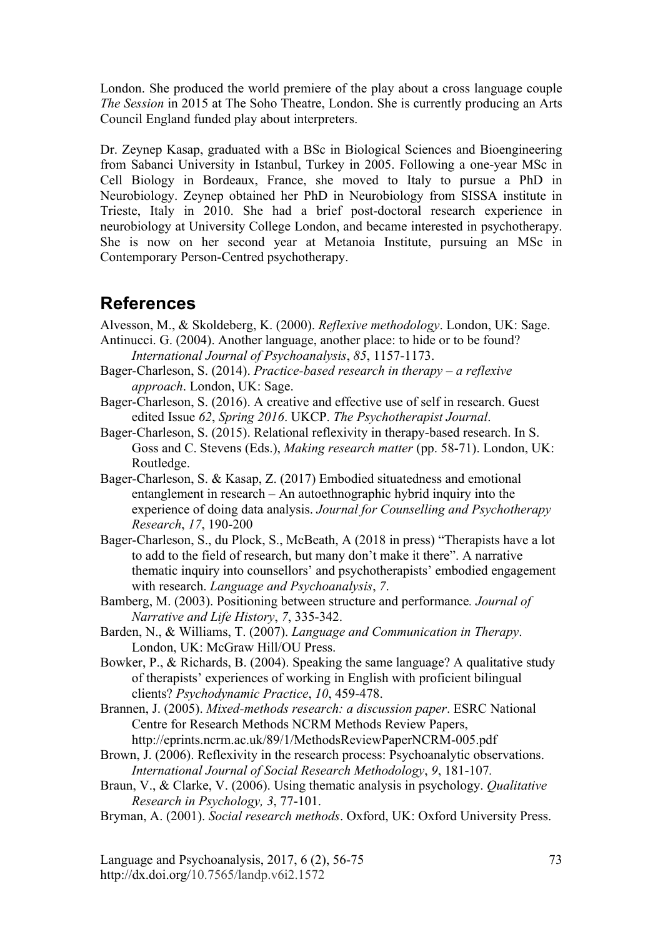London. She produced the world premiere of the play about a cross language couple *The Session* in 2015 at The Soho Theatre, London. She is currently producing an Arts Council England funded play about interpreters.

Dr. Zeynep Kasap, graduated with a BSc in Biological Sciences and Bioengineering from Sabanci University in Istanbul, Turkey in 2005. Following a one-year MSc in Cell Biology in Bordeaux, France, she moved to Italy to pursue a PhD in Neurobiology. Zeynep obtained her PhD in Neurobiology from SISSA institute in Trieste, Italy in 2010. She had a brief post-doctoral research experience in neurobiology at University College London, and became interested in psychotherapy. She is now on her second year at Metanoia Institute, pursuing an MSc in Contemporary Person-Centred psychotherapy.

## **References**

- Alvesson, M., & Skoldeberg, K. (2000). *Reflexive methodology*. London, UK: Sage.
- Antinucci. G. (2004). Another language, another place: to hide or to be found? *International Journal of Psychoanalysis*, *85*, 1157-1173.
- Bager-Charleson, S. (2014). *Practice-based research in therapy a reflexive approach*. London, UK: Sage.
- Bager-Charleson, S. (2016). A creative and effective use of self in research. Guest edited Issue *62*, *Spring 2016*. UKCP. *The Psychotherapist Journal*.
- Bager-Charleson, S. (2015). Relational reflexivity in therapy-based research. In S. Goss and C. Stevens (Eds.), *Making research matter* (pp. 58-71). London, UK: Routledge.
- Bager-Charleson, S. & Kasap, Z. (2017) Embodied situatedness and emotional entanglement in research – An autoethnographic hybrid inquiry into the experience of doing data analysis. *Journal for Counselling and Psychotherapy Research*, *17*, 190-200
- Bager-Charleson, S., du Plock, S., McBeath, A (2018 in press) "Therapists have a lot to add to the field of research, but many don't make it there". A narrative thematic inquiry into counsellors' and psychotherapists' embodied engagement with research. *Language and Psychoanalysis*, *7*.
- Bamberg, M. (2003). Positioning between structure and performance*. Journal of Narrative and Life History*, *7*, 335-342.
- Barden, N., & Williams, T. (2007). *Language and Communication in Therapy*. London, UK: McGraw Hill/OU Press.
- Bowker, P., & Richards, B. (2004). Speaking the same language? A qualitative study of therapists' experiences of working in English with proficient bilingual clients? *Psychodynamic Practice*, *10*, 459-478.
- Brannen, J. (2005). *Mixed-methods research: a discussion paper*. ESRC National Centre for Research Methods NCRM Methods Review Papers, http://eprints.ncrm.ac.uk/89/1/MethodsReviewPaperNCRM-005.pdf
- Brown, J. (2006). Reflexivity in the research process: Psychoanalytic observations. *International Journal of Social Research Methodology*, *9*, 181-107*.*
- Braun, V., & Clarke, V. (2006). Using thematic analysis in psychology. *Qualitative Research in Psychology, 3*, 77-101.
- Bryman, A. (2001). *Social research methods*. Oxford, UK: Oxford University Press.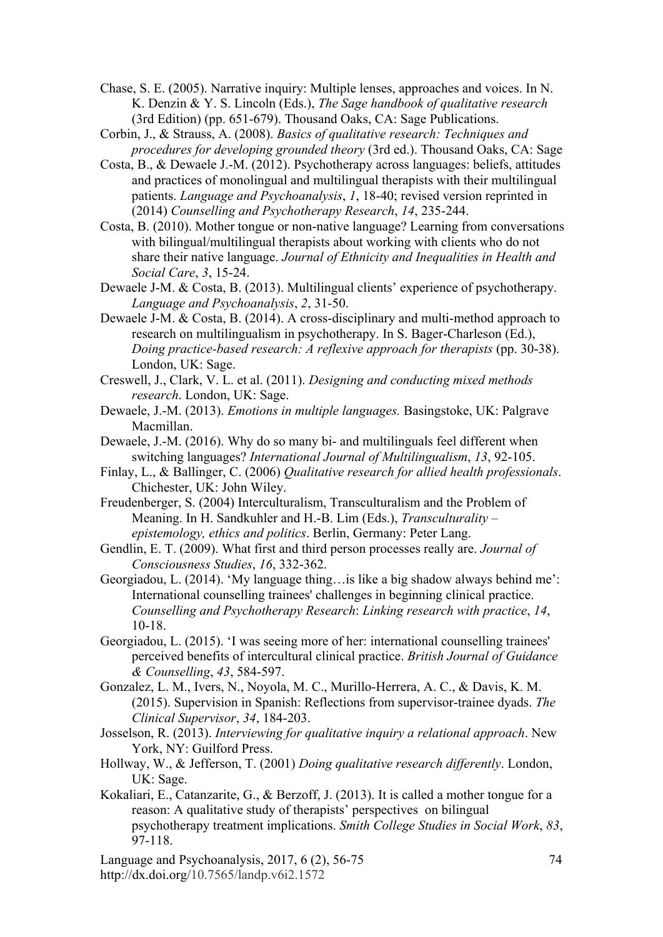- Chase, S. E. (2005). Narrative inquiry: Multiple lenses, approaches and voices. In N. K. Denzin & Y. S. Lincoln (Eds.), *The Sage handbook of qualitative research* (3rd Edition) (pp. 651-679). Thousand Oaks, CA: Sage Publications.
- Corbin, J., & Strauss, A. (2008). *Basics of qualitative research: Techniques and procedures for developing grounded theory* (3rd ed.). Thousand Oaks, CA: Sage
- Costa, B., & Dewaele J.-M. (2012). Psychotherapy across languages: beliefs, attitudes and practices of monolingual and multilingual therapists with their multilingual patients. *Language and Psychoanalysis*, *1*, 18-40; revised version reprinted in (2014) *Counselling and Psychotherapy Research*, *14*, 235-244.
- Costa, B. (2010). Mother tongue or non-native language? Learning from conversations with bilingual/multilingual therapists about working with clients who do not share their native language. *Journal of Ethnicity and Inequalities in Health and Social Care*, *3*, 15-24.
- Dewaele J-M. & Costa, B. (2013). Multilingual clients' experience of psychotherapy. *Language and Psychoanalysis*, *2*, 31-50.
- Dewaele J-M. & Costa, B. (2014). A cross-disciplinary and multi-method approach to research on multilingualism in psychotherapy. In S. Bager-Charleson (Ed.), *Doing practice-based research: A reflexive approach for therapists* (pp. 30-38). London, UK: Sage.
- Creswell, J., Clark, V. L. et al. (2011). *Designing and conducting mixed methods research*. London, UK: Sage.
- Dewaele, J.-M. (2013). *Emotions in multiple languages.* Basingstoke, UK: Palgrave Macmillan.
- Dewaele, J.-M. (2016). Why do so many bi- and multilinguals feel different when switching languages? *International Journal of Multilingualism*, *13*, 92-105.
- Finlay, L., & Ballinger, C. (2006) *Qualitative research for allied health professionals*. Chichester, UK: John Wiley.
- Freudenberger, S. (2004) Interculturalism, Transculturalism and the Problem of Meaning. In H. Sandkuhler and H.-B. Lim (Eds.), *Transculturality – epistemology, ethics and politics*. Berlin, Germany: Peter Lang.
- Gendlin, E. T. (2009). What first and third person processes really are. *Journal of Consciousness Studies*, *16*, 332-362.
- Georgiadou, L. (2014). 'My language thing…is like a big shadow always behind me': International counselling trainees' challenges in beginning clinical practice. *Counselling and Psychotherapy Research*: *Linking research with practice*, *14*, 10-18.
- Georgiadou, L. (2015). 'I was seeing more of her: international counselling trainees' perceived benefits of intercultural clinical practice. *British Journal of Guidance & Counselling*, *43*, 584-597.
- Gonzalez, L. M., Ivers, N., Noyola, M. C., Murillo-Herrera, A. C., & Davis, K. M. (2015). Supervision in Spanish: Reflections from supervisor-trainee dyads. *The Clinical Supervisor*, *34*, 184-203.
- Josselson, R. (2013). *Interviewing for qualitative inquiry a relational approach*. New York, NY: Guilford Press.
- Hollway, W., & Jefferson, T. (2001) *Doing qualitative research differently*. London, UK: Sage.
- Kokaliari, E., Catanzarite, G., & Berzoff, J. (2013). It is called a mother tongue for a reason: A qualitative study of therapists' perspectives on bilingual psychotherapy treatment implications. *Smith College Studies in Social Work*, *83*, 97-118.
- Language and Psychoanalysis, 2017, 6 (2), 56-75 http://dx.doi.org/10.7565/landp.v6i2.1572